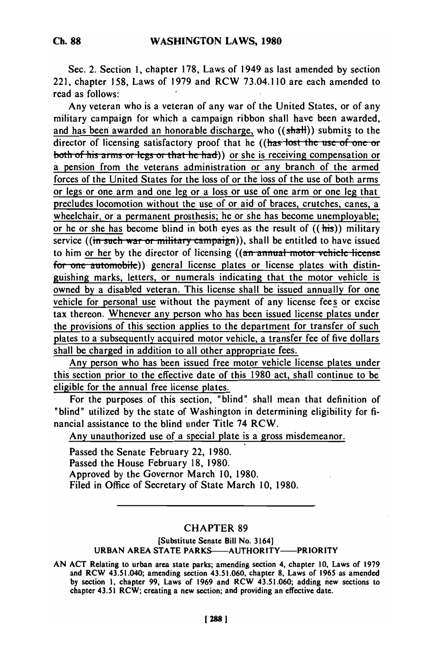Sec. 2. Section 1, chapter 178, Laws of 1949 as last amended by section 221, chapter 158, Laws of 1979 and RCW 73.04.110 are each amended to read as follows:

Any veteran who is a veteran of any war of the United States, or of any military campaign for which a campaign ribbon shall have been awarded, and has been awarded an honorable discharge, who  $((\text{shat}))$  submits to the director of licensing satisfactory proof that he ((has lost the use of one or both of his arms or legs or that he had)) or she is receiving compensation or a pension from the veterans administration or any branch of the armed forces of the United States for the loss of or the loss of the use of both arms or legs or one arm and one leg or a loss or use of one arm or one leg that precludes locomotion without the use of or aid of braces, crutches, canes, a wheelchair, or a permanent prosthesis; he or she has become unemployable; or he or she has become blind in both eyes as the result of  $((his))$  military service ((in such war or military campaign)), shall be entitled to have issued to him or her by the director of licensing ((an annual motor vehicle license for one automobile)) general license plates or license plates with distinguishing marks, letters, or numerals indicating that the motor vehicle is owned by a disabled veteran. This license shall be issued annually for one vehicle for personal use without the payment of any license fees or excise tax thereon. Whenever any person who has been issued license plates under the provisions of this section applies to the department for transfer of such plates to a subsequently acquired motor vehicle, a transfer fee of five dollars shall be charged in addition to all other appropriate fees.

Any person who has been issued free motor vehicle license plates under this section prior to the effective date of this 1980 act, shall continue to be eligible for the annual free license plates.

For the purposes of this section, "blind" shall mean that definition of "blind" utilized by the state of Washington in determining eligibility for financial assistance to the blind under Title 74 RCW.

Any unauthorized use of a special plate is a gross misdemeanor.

Passed the Senate February 22, 1980. Passed the House February 18, 1980. Approved by the Governor March **10,** 1980. Filed in Office of Secretary of State March 10, 1980.

# CHAPTER 89

### [Substitute Senate Bill No. 3164] **URBAN AREA STATE PARKS-AUTHORITY-PRIORITY**

**AN** ACT Relating to urban area state parks; amending section 4, chapter 10, Laws of **1979** and RCW 43.51.040; amending section 43.51.060, chapter **8,** Laws of 1965 as amended **by** section **1,** chapter **99,** Laws of **1969** and RCW 43.51.060; adding new sections to chapter 43.51 RCW; creating a new section; and providing an effective date.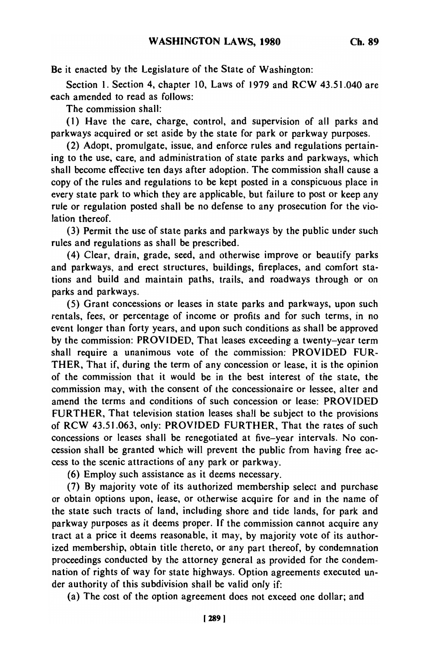Be it enacted **by** the Legislature of the State of Washington:

Section 1. Section 4, chapter 10, Laws of 1979 and RCW 43.51.040 are each amended to read as follows:

The commission shall:

(1) Have the care, charge, control, and supervision of all parks and parkways acquired or set aside by the state for park or parkway purposes.

(2) Adopt, promulgate, issue, and enforce rules and regulations pertaining to the use, care, and administration of state parks and parkways, which shall become effective ten days after adoption. The commission shall cause a copy of the rules and regulations to be kept posted in a conspicuous place in every state park to which they are applicable, but failure to post or keep any rule or regulation posted shall be no defense to any prosecution for the violation thereof.

(3) Permit the use of state parks and parkways by the public under such rules and regulations as shall be prescribed.

(4) Clear, drain, grade, seed, and otherwise improve or beautify parks and parkways, and erect structures, buildings, fireplaces, and comfort stations and build and maintain paths, trails, and roadways through or on parks and parkways.

(5) Grant concessions or leases in state parks and parkways, upon such rentals, fees, or percentage of income or profits and for such terms, in no event longer than forty years, and upon such conditions as shall be approved by the commission: PROVIDED, That leases exceeding a twenty-year term shall require a unanimous vote of the commission: PROVIDED FUR-THER, That if, during the term of any concession or lease, it is the opinion of the commission that it would be in the best interest of the state, the commission may, with the consent of the concessionaire or lessee, alter and amend the terms and conditions of such concession or lease: PROVIDED FURTHER, That television station leases shall be subject to the provisions of RCW 43.51.063, only: PROVIDED FURTHER, That the rates of such concessions or leases shall be renegotiated at five-year intervals. No concession shall be granted which will prevent the public from having free access to the scenic attractions of any park or parkway.

(6) Employ such assistance as it deems necessary.

(7) By majority vote of its authorized membership select and purchase or obtain options upon, lease, or otherwise acquire for and in the name of the state such tracts of land, including shore and tide lands, for park and parkway purposes as it deems proper. If the commission cannot acquire any tract at a price it deems reasonable, it may, by majority vote of its authorized membership, obtain title thereto, or any part thereof, by condemnation proceedings conducted by the attorney general as provided for the condemnation of rights of way for state highways. Option agreements executed under authority of this subdivision shall be valid only if:

(a) The cost of the option agreement does not exceed one dollar; and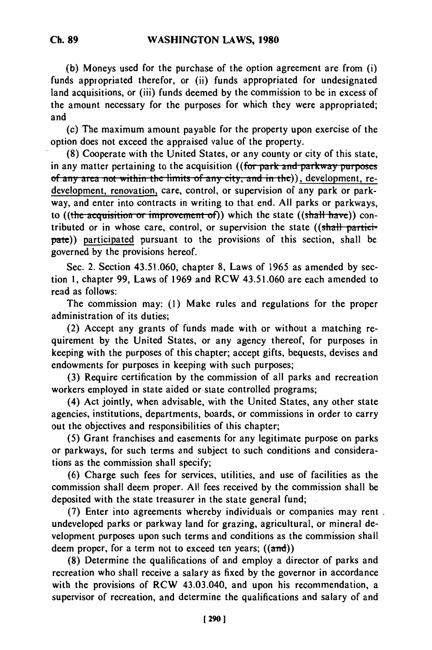**(b)** Moneys used for the purchase of the option agreement are from (i) funds appiopriated therefor, or (ii) funds appropriated for undesignated land acquisitions, or (iii) funds deemed by the commission to be in excess of the amount necessary for the purposes for which they were appropriated; and

(c) The maximum amount payable for the property upon exercise of the option does not exceed the appraised value of the property.

(8) Cooperate with the United States, or any county or city of this state, in any matter pertaining to the acquisition ((for park and parkway purposes of any area not within the limits of any city, and in the)), development, redevelopment, renovation, care, control, or supervision of any park or parkway, and enter into contracts in writing to that end. All parks or parkways, to ((the acquisition or improvement of)) which the state ((shall have)) contributed or in whose care, control, or supervision the state  $((shall partici$ pate)) participated pursuant to the provisions of this section, shall be governed by the provisions hereof.

Sec. 2. Section 43.51.060, chapter 8, Laws of 1965 as amended by section 1, chapter 99, Laws of 1969 and RCW 43.51.060 are each amended to read as follows:

The commission may: (1) Make rules and regulations for the proper administration of its duties;

(2) Accept any grants of funds made with or without a matching requirement by the United States, or any agency thereof, for purposes in keeping with the purposes of this chapter; accept gifts, bequests, devises and endowments for purposes in keeping with such purposes;

(3) Require certification by the commission of all parks and recreation workers employed in state aided or state controlled programs;

(4) Act jointly, when advisable, with the United States, any other state agencies, institutions, departments, boards, or commissions in order to carry out the objectives and responsibilities of this chapter;

(5) Grant franchises and easements for any legitimate purpose on parks or parkways, for such terms and subject to such conditions and considerations as the commission shall specify;

(6) Charge such fees for services, utilities, and use of facilities as the commission shall deem proper. All fees received by the commission shall be deposited with the state treasurer in the state general fund;

(7) Enter into agreements whereby individuals or companies may rent undeveloped parks or parkway land for grazing, agricultural, or mineral development purposes upon such terms and conditions as the commission shall deem proper, for a term not to exceed ten years;  $((and))$ 

(8) Determine the qualifications of and employ a director of parks and recreation who shall receive a salary as fixed by the governor in accordance with the provisions of RCW 43.03.040, and upon his recommendation, a supervisor of recreation, and determine the qualifications and salary of and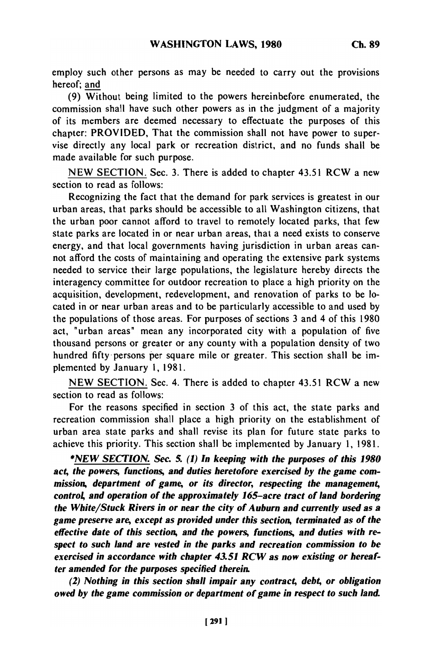employ such other persons as may be needed to carry out the provisions hereof; and

(9) Without being limited to the powers hereinbefore enumerated, the commission shall have such other powers as in the judgment of a majority of its members are deemed necessary to effectuate the purposes of this chapter: PROVIDED, That the commission shall not have power to supervise directly any local park or recreation district, and no funds shall be made available for such purpose.

NEW SECTION. Sec. 3. There is added to chapter 43.51 RCW a new section to read as follows:

Recognizing the fact that the demand for park services is greatest in our urban areas, that parks should be accessible to all Washington citizens, that the urban poor cannot afford to travel to remotely located parks, that few state parks are located in or near urban areas, that a need exists to conserve energy, and that local governments having jurisdiction in urban areas cannot afford the costs of maintaining and operating the extensive park systems needed to service their large populations, the legislature hereby directs the interagency committee for outdoor recreation to place a high priority on the acquisition, development, redevelopment, and renovation of parks to be located in or near urban areas and to be particularly accessible to and used by the populations of those areas. For purposes of sections 3 and 4 of this 1980 act, "urban areas" mean any incorporated city with a population of five thousand persons or greater or any county with a population density of two hundred fifty-persons per square mile or greater. This section shall be implemented by January 1, 1981.

NEW SECTION. Sec. 4. There is added to chapter 43.51 RCW a new section to read as follows:

For the reasons specified in section 3 of this act, the state parks and recreation commission shall place a high priority on the establishment of urban area state parks and shall revise its plan for future state parks to achieve this priority. This section shall be implemented by January 1, 1981.

*\*NEW SECTION. Sec. 5. (1) In keeping with the purposes of this 1980 act, the powers, functions, and duties heretofore exercised by the game commission, department of game, or its director, respecting the management, control, and operation of the approximately 165-acre tract of land bordering the White/Stuck Rivers in or near the city of Auburn and currently used as a game preserve are, except as provided under this section, terminated as of the effective date of this section, and the powers, functions, and duties with respect to such land are vested in the parks and recreation commission to be exercised in accordance with chapter 43.51 RCW as now existing or hereafter amended for the purposes specified therein.*

*(2) Nothing in this section shall impair any contract, debt, or obligation owed by the game commission or department of game in respect to such land.*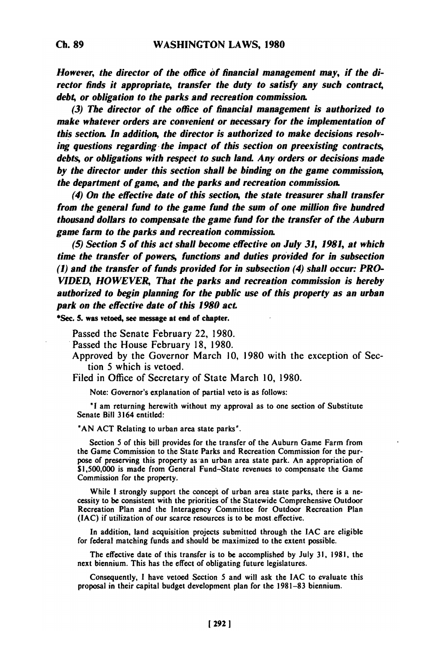*However, the director of the office of financial management may, if the director finds it appropriate, transfer the duty to satisfy any such contrac4 deb4 or obligation to the parks and recreation commission.*

*(3) The director of the office of financial management is authorized to make whatever orders are convenient or necessary for the implementation of this section. In addition, the director is authorized to make decisions resolving questions regarding. the impact of this section on preexisting contracts,* debts, or obligations with respect to such land. Any orders or decisions made *by the director under this section shall be binding on the game commission, the department of game, and the parks and recreation commission*

*(4) On the effective date of this section, the state treasurer shall transfer from the general fund to the game fund the sum of one million five hundred thousand dollars to compensate the game fund for the transfer of the Auburn game farm to the parks and recreation commission.*

*(5) Section 5 of this act shall become effective on July 31, 1981, at which time the transfer of powers, functions and duties provided for in subsection* **(1)** *and the transfer of funds provided for in subsection (4) shall occur: PRO-VIDED, HOWEVER, That the parks and recreation commission is hereby authorized to begin planning for the public use of this property as an urban park on the effective date of this 1980* **act**

**\*Sec. 5.** was vetoed, see message at end of chapter.

Passed the Senate February 22, 1980.

Passed the House February 18, 1980.

Approved by the Governor March 10, 1980 with the exception of Section 5 which is vetoed.

Filed in Office of Secretary of State March 10, 1980.

Note: Governor's explanation of partial veto is as follows:

**"I** am returning herewith without my approval as to one section of Substitute Senate Bill 3164 entitled:

**'AN ACT** Relating to urban area state parks".

Section 5 of this bill provides for the transfer of the Auburn Game Farm from the Game Commission to the State Parks and Recreation Commission for the purpose of preserving this property as an urban area state park. An appropriation of **\$1,500,000** is made from General Fund-State revenues to compensate the Game Commission for the property.

While **I** strongly support the concept of urban area state parks, there is a newhile I strongly support the concept of urban area state parks, there is a ne-Recreation Plan and the Interagency Committee for Outdoor Recreation Plan **RECTEATION FIAN and the interagency Committee for Outdoor** 

In addition, land acquisition projects submitted through the **IAC** are eligible for federal matching funds and should be maximized to the extent possible.

The effective date of this transfer is to be accomplished **by** July **31, 1981,** the next biennium. This has the effect of obligating future legislatures.

Consequently, I have vetoed Section 5 and will ask the **IAC** to evaluate this proposal in their capital budget development plan for the **1981-83** biennium.

**Ch. 89**